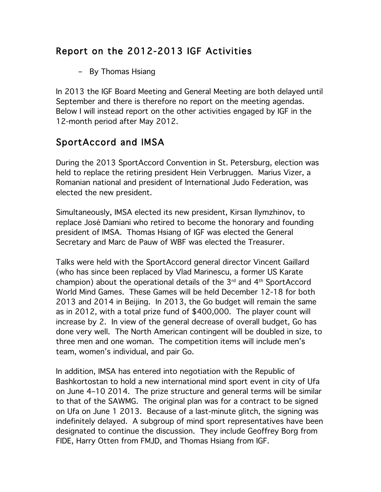## Report on the 2012-2013 IGF Activities

– By Thomas Hsiang

In 2013 the IGF Board Meeting and General Meeting are both delayed until September and there is therefore no report on the meeting agendas. Below I will instead report on the other activities engaged by IGF in the 12-month period after May 2012.

## SportAccord and IMSA

During the 2013 SportAccord Convention in St. Petersburg, election was held to replace the retiring president Hein Verbruggen. Marius Vizer, a Romanian national and president of International Judo Federation, was elected the new president.

Simultaneously, IMSA elected its new president, Kirsan Ilymzhinov, to replace José Damiani who retired to become the honorary and founding president of IMSA. Thomas Hsiang of IGF was elected the General Secretary and Marc de Pauw of WBF was elected the Treasurer.

Talks were held with the SportAccord general director Vincent Gaillard (who has since been replaced by Vlad Marinescu, a former US Karate champion) about the operational details of the  $3<sup>rd</sup>$  and  $4<sup>th</sup>$  SportAccord World Mind Games. These Games will be held December 12-18 for both 2013 and 2014 in Beijing. In 2013, the Go budget will remain the same as in 2012, with a total prize fund of \$400,000. The player count will increase by 2. In view of the general decrease of overall budget, Go has done very well. The North American contingent will be doubled in size, to three men and one woman. The competition items will include men's team, women's individual, and pair Go.

In addition, IMSA has entered into negotiation with the Republic of Bashkortostan to hold a new international mind sport event in city of Ufa on June 4–10 2014. The prize structure and general terms will be similar to that of the SAWMG. The original plan was for a contract to be signed on Ufa on June 1 2013. Because of a last-minute glitch, the signing was indefinitely delayed. A subgroup of mind sport representatives have been designated to continue the discussion. They include Geoffrey Borg from FIDE, Harry Otten from FMJD, and Thomas Hsiang from IGF.